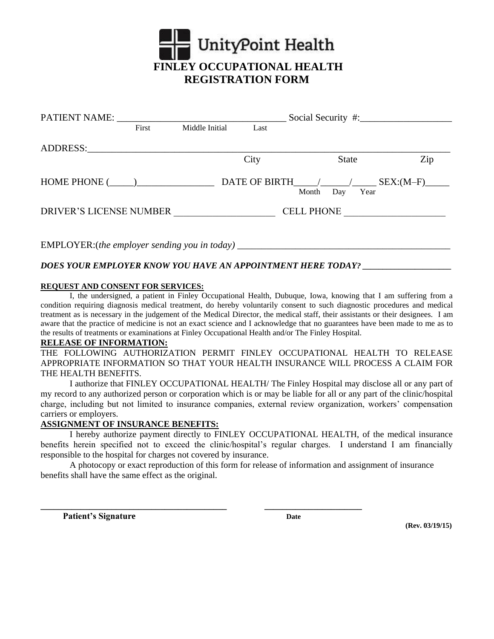

| PATIENT NAME:                  |       |                |                   |       |             |             |  |
|--------------------------------|-------|----------------|-------------------|-------|-------------|-------------|--|
|                                | First | Middle Initial | Last              |       |             |             |  |
| ADDRESS:                       |       |                |                   |       |             |             |  |
|                                |       |                | City              |       | State       | Zip         |  |
| $HOME PHONE$ ( $\qquad$ )      |       |                | DATE OF BIRTH / / | Month | Day<br>Year | $SEX:(M-F)$ |  |
| <b>DRIVER'S LICENSE NUMBER</b> |       |                | <b>CELL PHONE</b> |       |             |             |  |
|                                |       |                |                   |       |             |             |  |

EMPLOYER:(*the employer sending you in today*)

## *DOES YOUR EMPLOYER KNOW YOU HAVE AN APPOINTMENT HERE TODAY? \_\_\_\_\_\_\_\_\_\_\_\_\_\_\_\_\_\_\_\_\_\_*

#### **REQUEST AND CONSENT FOR SERVICES:**

I, the undersigned, a patient in Finley Occupational Health, Dubuque, Iowa, knowing that I am suffering from a condition requiring diagnosis medical treatment, do hereby voluntarily consent to such diagnostic procedures and medical treatment as is necessary in the judgement of the Medical Director, the medical staff, their assistants or their designees. I am aware that the practice of medicine is not an exact science and I acknowledge that no guarantees have been made to me as to the results of treatments or examinations at Finley Occupational Health and/or The Finley Hospital.

#### **RELEASE OF INFORMATION:**

THE FOLLOWING AUTHORIZATION PERMIT FINLEY OCCUPATIONAL HEALTH TO RELEASE APPROPRIATE INFORMATION SO THAT YOUR HEALTH INSURANCE WILL PROCESS A CLAIM FOR THE HEALTH BENEFITS.

I authorize that FINLEY OCCUPATIONAL HEALTH/ The Finley Hospital may disclose all or any part of my record to any authorized person or corporation which is or may be liable for all or any part of the clinic/hospital charge, including but not limited to insurance companies, external review organization, workers' compensation carriers or employers.

#### **ASSIGNMENT OF INSURANCE BENEFITS:**

I hereby authorize payment directly to FINLEY OCCUPATIONAL HEALTH, of the medical insurance benefits herein specified not to exceed the clinic/hospital's regular charges. I understand I am financially responsible to the hospital for charges not covered by insurance.

A photocopy or exact reproduction of this form for release of information and assignment of insurance benefits shall have the same effect as the original.

**\_\_\_\_\_\_\_\_\_\_\_\_\_\_\_\_\_\_\_\_\_\_\_\_\_\_\_\_\_\_\_\_\_\_\_\_\_\_\_\_\_\_ \_\_\_\_\_\_\_\_\_\_\_\_\_\_\_\_\_\_\_\_\_\_** 

**Patient's Signature Date** 

 **(Rev. 03/19/15)**